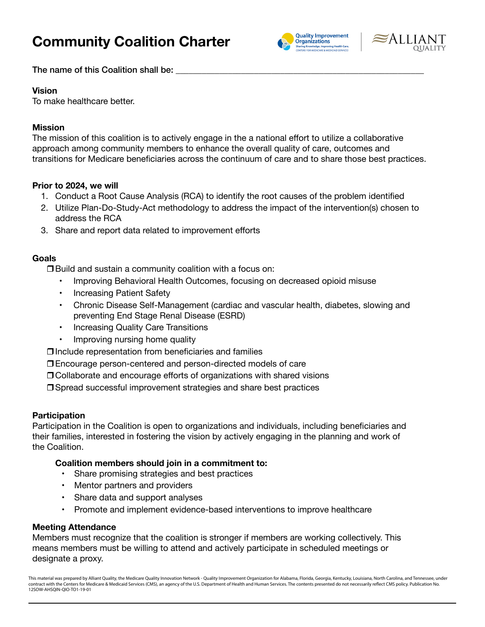# **Community Coalition Charter**





The name of this Coalition shall be:

# **Vision**

To make healthcare better.

# **Mission**

The mission of this coalition is to actively engage in the a national effort to utilize a collaborative approach among community members to enhance the overall quality of care, outcomes and transitions for Medicare beneficiaries across the continuum of care and to share those best practices.

## **Prior to 2024, we will**

- 1. Conduct a Root Cause Analysis (RCA) to identify the root causes of the problem identified
- 2. Utilize Plan-Do-Study-Act methodology to address the impact of the intervention(s) chosen to address the RCA
- 3. Share and report data related to improvement efforts

## **Goals**

 $\Box$  Build and sustain a community coalition with a focus on:

- Improving Behavioral Health Outcomes, focusing on decreased opioid misuse
- Increasing Patient Safety
- Chronic Disease Self-Management (cardiac and vascular health, diabetes, slowing and preventing End Stage Renal Disease (ESRD)
- Increasing Quality Care Transitions
- Improving nursing home quality

 $\Box$  Include representation from beneficiaries and families

- Encourage person-centered and person-directed models of care
- Collaborate and encourage efforts of organizations with shared visions

□ Spread successful improvement strategies and share best practices

### **Participation**

Participation in the Coalition is open to organizations and individuals, including beneficiaries and their families, interested in fostering the vision by actively engaging in the planning and work of the Coalition.

# **Coalition members should join in a commitment to:**

- Share promising strategies and best practices
- Mentor partners and providers
- Share data and support analyses
- Promote and implement evidence-based interventions to improve healthcare

### **Meeting Attendance**

Members must recognize that the coalition is stronger if members are working collectively. This means members must be willing to attend and actively participate in scheduled meetings or designate a proxy.

This material was prepared by Alliant Quality, the Medicare Quality Innovation Network - Quality Improvement Organization for Alabama, Florida, Georgia, Kentucky, Louisiana, North Carolina, and Tennessee, under contract with the Centers for Medicare & Medicaid Services (CMS), an agency of the U.S. Department of Health and Human Services. The contents presented do not necessarily reflect CMS policy. Publication No. 12SOW-AHSQIN-QIO-TO1-19-01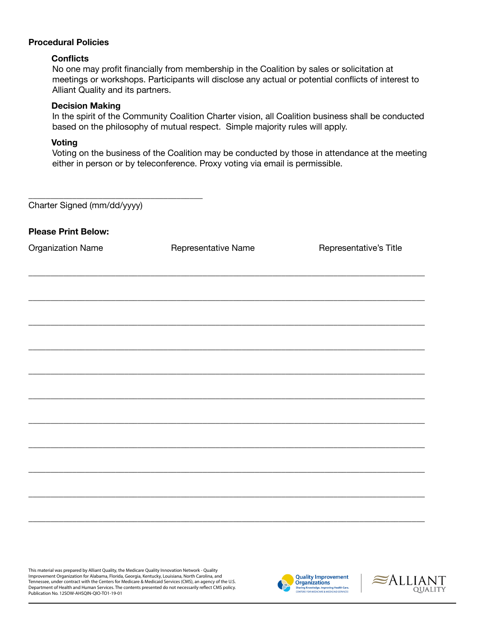#### **Procedural Policies**

### **Conflicts**

No one may profit financially from membership in the Coalition by sales or solicitation at meetings or workshops. Participants will disclose any actual or potential conflicts of interest to Alliant Quality and its partners.

#### **Decision Making**

In the spirit of the Community Coalition Charter vision, all Coalition business shall be conducted based on the philosophy of mutual respect. Simple majority rules will apply.

### **Voting**

Voting on the business of the Coalition may be conducted by those in attendance at the meeting either in person or by teleconference. Proxy voting via email is permissible.

| Charter Signed (mm/dd/yyyy) |  |
|-----------------------------|--|
|                             |  |

\_\_\_\_\_\_\_\_\_\_\_\_\_\_\_\_\_\_\_\_\_\_\_\_\_\_\_\_\_\_\_\_\_\_\_\_\_\_\_\_

| <b>Please Print Below:</b> |  |  |
|----------------------------|--|--|
|----------------------------|--|--|

**\_\_\_\_\_\_\_\_\_\_\_\_\_\_\_\_\_\_\_\_\_\_\_\_\_\_\_\_\_\_\_\_\_\_\_\_\_\_\_\_\_\_\_\_\_\_\_\_\_\_\_\_\_\_\_\_\_\_\_\_\_\_\_\_\_\_\_\_\_\_\_\_\_\_\_\_\_\_\_\_\_\_\_\_\_\_\_\_\_\_\_**

**\_\_\_\_\_\_\_\_\_\_\_\_\_\_\_\_\_\_\_\_\_\_\_\_\_\_\_\_\_\_\_\_\_\_\_\_\_\_\_\_\_\_\_\_\_\_\_\_\_\_\_\_\_\_\_\_\_\_\_\_\_\_\_\_\_\_\_\_\_\_\_\_\_\_\_\_\_\_\_\_\_\_\_\_\_\_\_\_\_\_\_**

**\_\_\_\_\_\_\_\_\_\_\_\_\_\_\_\_\_\_\_\_\_\_\_\_\_\_\_\_\_\_\_\_\_\_\_\_\_\_\_\_\_\_\_\_\_\_\_\_\_\_\_\_\_\_\_\_\_\_\_\_\_\_\_\_\_\_\_\_\_\_\_\_\_\_\_\_\_\_\_\_\_\_\_\_\_\_\_\_\_\_\_**

**\_\_\_\_\_\_\_\_\_\_\_\_\_\_\_\_\_\_\_\_\_\_\_\_\_\_\_\_\_\_\_\_\_\_\_\_\_\_\_\_\_\_\_\_\_\_\_\_\_\_\_\_\_\_\_\_\_\_\_\_\_\_\_\_\_\_\_\_\_\_\_\_\_\_\_\_\_\_\_\_\_\_\_\_\_\_\_\_\_\_\_**

**\_\_\_\_\_\_\_\_\_\_\_\_\_\_\_\_\_\_\_\_\_\_\_\_\_\_\_\_\_\_\_\_\_\_\_\_\_\_\_\_\_\_\_\_\_\_\_\_\_\_\_\_\_\_\_\_\_\_\_\_\_\_\_\_\_\_\_\_\_\_\_\_\_\_\_\_\_\_\_\_\_\_\_\_\_\_\_\_\_\_\_**

**\_\_\_\_\_\_\_\_\_\_\_\_\_\_\_\_\_\_\_\_\_\_\_\_\_\_\_\_\_\_\_\_\_\_\_\_\_\_\_\_\_\_\_\_\_\_\_\_\_\_\_\_\_\_\_\_\_\_\_\_\_\_\_\_\_\_\_\_\_\_\_\_\_\_\_\_\_\_\_\_\_\_\_\_\_\_\_\_\_\_\_**

**\_\_\_\_\_\_\_\_\_\_\_\_\_\_\_\_\_\_\_\_\_\_\_\_\_\_\_\_\_\_\_\_\_\_\_\_\_\_\_\_\_\_\_\_\_\_\_\_\_\_\_\_\_\_\_\_\_\_\_\_\_\_\_\_\_\_\_\_\_\_\_\_\_\_\_\_\_\_\_\_\_\_\_\_\_\_\_\_\_\_\_**

**\_\_\_\_\_\_\_\_\_\_\_\_\_\_\_\_\_\_\_\_\_\_\_\_\_\_\_\_\_\_\_\_\_\_\_\_\_\_\_\_\_\_\_\_\_\_\_\_\_\_\_\_\_\_\_\_\_\_\_\_\_\_\_\_\_\_\_\_\_\_\_\_\_\_\_\_\_\_\_\_\_\_\_\_\_\_\_\_\_\_\_**

**\_\_\_\_\_\_\_\_\_\_\_\_\_\_\_\_\_\_\_\_\_\_\_\_\_\_\_\_\_\_\_\_\_\_\_\_\_\_\_\_\_\_\_\_\_\_\_\_\_\_\_\_\_\_\_\_\_\_\_\_\_\_\_\_\_\_\_\_\_\_\_\_\_\_\_\_\_\_\_\_\_\_\_\_\_\_\_\_\_\_\_**

**\_\_\_\_\_\_\_\_\_\_\_\_\_\_\_\_\_\_\_\_\_\_\_\_\_\_\_\_\_\_\_\_\_\_\_\_\_\_\_\_\_\_\_\_\_\_\_\_\_\_\_\_\_\_\_\_\_\_\_\_\_\_\_\_\_\_\_\_\_\_\_\_\_\_\_\_\_\_\_\_\_\_\_\_\_\_\_\_\_\_\_**

**\_\_\_\_\_\_\_\_\_\_\_\_\_\_\_\_\_\_\_\_\_\_\_\_\_\_\_\_\_\_\_\_\_\_\_\_\_\_\_\_\_\_\_\_\_\_\_\_\_\_\_\_\_\_\_\_\_\_\_\_\_\_\_\_\_\_\_\_\_\_\_\_\_\_\_\_\_\_\_\_\_\_\_\_\_\_\_\_\_\_\_**

Organization Name **Representative Name** Representative's Title

This material was prepared by Alliant Quality, the Medicare Quality Innovation Network - Quality Improvement Organization for Alabama, Florida, Georgia, Kentucky, Louisiana, North Carolina, and Tennessee, under contract with the Centers for Medicare & Medicaid Services (CMS), an agency of the U.S. Department of Health and Human Services. The contents presented do not necessarily reflect CMS policy. Publication No. 12SOW-AHSQIN-QIO-TO1-19-01